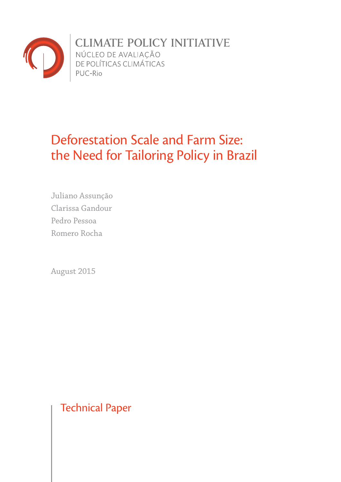

CLIMATE POLICY INITIATIVE<br>NÚCLEO DE AVALIAÇÃO<br>DE POLÍTICAS CLIMÁTICAS

# Deforestation Scale and Farm Size: the Need for Tailoring Policy in Brazil

Juliano Assunção Clarissa Gandour Pedro Pessoa Romero Rocha

August 2015

Technical Paper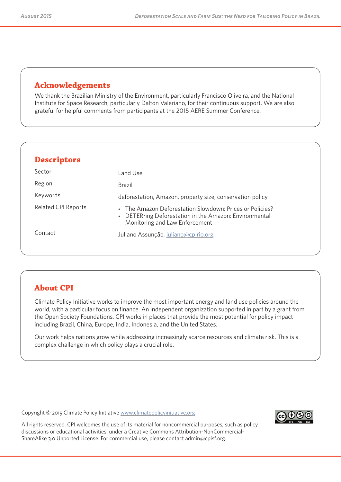# **Acknowledgements**

We thank the Brazilian Ministry of the Environment, particularly Francisco Oliveira, and the National Institute for Space Research, particularly Dalton Valeriano, for their continuous support. We are also grateful for helpful comments from participants at the 2015 AERE Summer Conference.

| <b>Descriptors</b>         |                                                                                                                                                      |
|----------------------------|------------------------------------------------------------------------------------------------------------------------------------------------------|
| Sector                     | Land Use                                                                                                                                             |
| Region                     | Brazil                                                                                                                                               |
| Keywords                   | deforestation, Amazon, property size, conservation policy                                                                                            |
| <b>Related CPI Reports</b> | • The Amazon Deforestation Slowdown: Prices or Policies?<br>• DETERring Deforestation in the Amazon: Environmental<br>Monitoring and Law Enforcement |
| Contact                    | Juliano Assunção, juliano@cpirio.org                                                                                                                 |
|                            |                                                                                                                                                      |
|                            |                                                                                                                                                      |

# **About CPI**

Climate Policy Initiative works to improve the most important energy and land use policies around the world, with a particular focus on finance. An independent organization supported in part by a grant from the Open Society Foundations, CPI works in places that provide the most potential for policy impact including Brazil, China, Europe, India, Indonesia, and the United States.

Our work helps nations grow while addressing increasingly scarce resources and climate risk. This is a complex challenge in which policy plays a crucial role.

Copyright © 2015 Climate Policy Initiative www.climatepolicyinitiative.org



All rights reserved. CPI welcomes the use of its material for noncommercial purposes, such as policy discussions or educational activities, under a Creative Commons Attribution-NonCommercial-ShareAlike 3.0 Unported License. For commercial use, please contact admin@cpisf.org.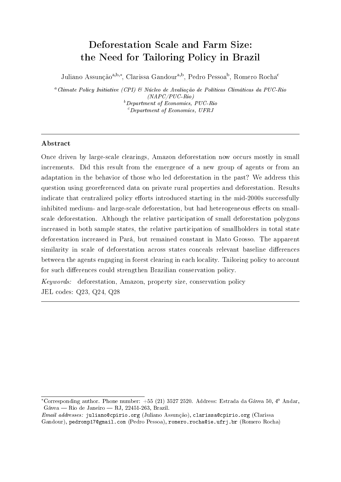# Deforestation Scale and Farm Size: the Need for Tailoring Policy in Brazil

Juliano Assunção<sup>a,b,∗</sup>, Clarissa Gandour<sup>a,b</sup>, Pedro Pessoa<sup>b</sup>, Romero Rocha<sup>c</sup>

<sup>a</sup>Climate Policy Initiative (CPI) & Núcleo de Avaliação de Políticas Climáticas da PUC-Rio (NAPC/PUC-Rio)  $b$ Department of Economics, PUC-Rio  $c$ Department of Economics, UFRJ

# Abstract

Once driven by large-scale clearings, Amazon deforestation now occurs mostly in small increments. Did this result from the emergence of a new group of agents or from an adaptation in the behavior of those who led deforestation in the past? We address this question using georeferenced data on private rural properties and deforestation. Results indicate that centralized policy efforts introduced starting in the mid-2000s successfully inhibited medium- and large-scale deforestation, but had heterogeneous effects on smallscale deforestation. Although the relative participation of small deforestation polygons increased in both sample states, the relative participation of smallholders in total state deforestation increased in Pará, but remained constant in Mato Grosso. The apparent similarity in scale of deforestation across states conceals relevant baseline differences between the agents engaging in forest clearing in each locality. Tailoring policy to account for such differences could strengthen Brazilian conservation policy.

Keywords: deforestation, Amazon, property size, conservation policy JEL codes: Q23, Q24, Q28

<sup>\*</sup>Corresponding author. Phone number:  $+55$  (21) 3527 2520. Address: Estrada da Gávea 50,  $4^{\circ}$  Andar,  $Gávea - Rio de Janeiro - RJ, 22451-263, Brazil.$ 

 $Email$  addresses: juliano@cpirio.org (Juliano Assunção), clarissa@cpirio.org (Clarissa Gandour), pedromp17@gmail.com (Pedro Pessoa), romero.rocha@ie.ufrj.br (Romero Rocha)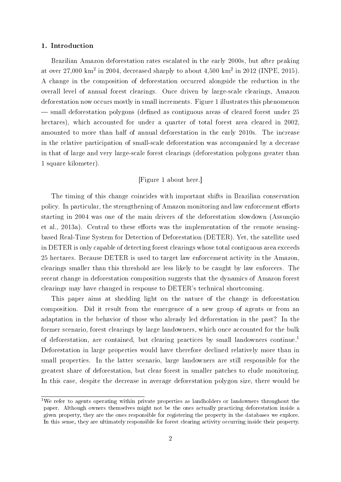#### 1. Introduction

Brazilian Amazon deforestation rates escalated in the early 2000s, but after peaking at over 27,000 km<sup>2</sup> in 2004, decreased sharply to about 4,500 km<sup>2</sup> in 2012 (INPE, 2015). A change in the composition of deforestation occurred alongside the reduction in the overall level of annual forest clearings. Once driven by large-scale clearings, Amazon deforestation now occurs mostly in small increments. Figure 1 illustrates this phenomenon  $\sim$  small deforestation polygons (defined as contiguous areas of cleared forest under 25 hectares), which accounted for under a quarter of total forest area cleared in 2002, amounted to more than half of annual deforestation in the early 2010s. The increase in the relative participation of small-scale deforestation was accompanied by a decrease in that of large and very large-scale forest clearings (deforestation polygons greater than 1 square kilometer).

# [Figure 1 about here.]

The timing of this change coincides with important shifts in Brazilian conservation policy. In particular, the strengthening of Amazon monitoring and law enforcement efforts starting in 2004 was one of the main drivers of the deforestation slowdown (Assunção et al., 2013a). Central to these efforts was the implementation of the remote sensingbased Real-Time System for Detection of Deforestation (DETER). Yet, the satellite used in DETER is only capable of detecting forest clearings whose total contiguous area exceeds 25 hectares. Because DETER is used to target law enforcement activity in the Amazon, clearings smaller than this threshold are less likely to be caught by law enforcers. The recent change in deforestation composition suggests that the dynamics of Amazon forest clearings may have changed in response to DETER's technical shortcoming.

This paper aims at shedding light on the nature of the change in deforestation composition. Did it result from the emergence of a new group of agents or from an adaptation in the behavior of those who already led deforestation in the past? In the former scenario, forest clearings by large landowners, which once accounted for the bulk of deforestation, are contained, but clearing practices by small landowners continue.<sup>1</sup> Deforestation in large properties would have therefore declined relatively more than in small properties. In the latter scenario, large landowners are still responsible for the greatest share of deforestation, but clear forest in smaller patches to elude monitoring. In this case, despite the decrease in average deforestation polygon size, there would be

<sup>&</sup>lt;sup>1</sup>We refer to agents operating within private properties as landholders or landowners throughout the paper. Although owners themselves might not be the ones actually practicing deforestation inside a given property, they are the ones responsible for registering the property in the databases we explore. In this sense, they are ultimately responsible for forest clearing activity occurring inside their property.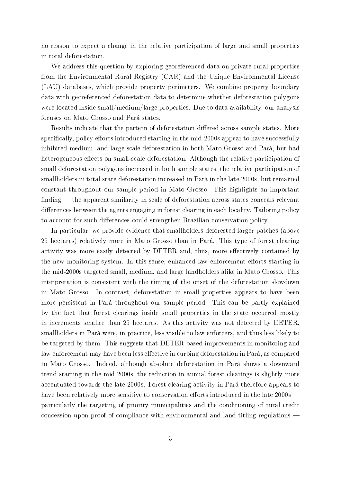no reason to expect a change in the relative participation of large and small properties in total deforestation.

We address this question by exploring georeferenced data on private rural properties from the Environmental Rural Registry (CAR) and the Unique Environmental License (LAU) databases, which provide property perimeters. We combine property boundary data with georeferenced deforestation data to determine whether deforestation polygons were located inside small/medium/large properties. Due to data availability, our analysis focuses on Mato Grosso and Pará states.

Results indicate that the pattern of deforestation differed across sample states. More specifically, policy efforts introduced starting in the mid-2000s appear to have successfully inhibited medium- and large-scale deforestation in both Mato Grosso and Pará, but had heterogeneous effects on small-scale deforestation. Although the relative participation of small deforestation polygons increased in both sample states, the relative participation of smallholders in total state deforestation increased in Pará in the late 2000s, but remained constant throughout our sample period in Mato Grosso. This highlights an important  $finding$  the apparent similarity in scale of deforestation across states conceals relevant differences between the agents engaging in forest clearing in each locality. Tailoring policy to account for such differences could strengthen Brazilian conservation policy.

In particular, we provide evidence that smallholders deforested larger patches (above 25 hectares) relatively more in Mato Grosso than in Pará. This type of forest clearing activity was more easily detected by DETER and, thus, more effectively contained by the new monitoring system. In this sense, enhanced law enforcement efforts starting in the mid-2000s targeted small, medium, and large landholders alike in Mato Grosso. This interpretation is consistent with the timing of the onset of the deforestation slowdown in Mato Grosso. In contrast, deforestation in small properties appears to have been more persistent in Pará throughout our sample period. This can be partly explained by the fact that forest clearings inside small properties in the state occurred mostly in increments smaller than 25 hectares. As this activity was not detected by DETER, smallholders in Pará were, in practice, less visible to law enforcers, and thus less likely to be targeted by them. This suggests that DETER-based improvements in monitoring and law enforcement may have been less effective in curbing deforestation in Pará, as compared to Mato Grosso. Indeed, although absolute deforestation in Pará shows a downward trend starting in the mid-2000s, the reduction in annual forest clearings is slightly more accentuated towards the late 2000s. Forest clearing activity in Pará therefore appears to have been relatively more sensitive to conservation efforts introduced in the late 2000s particularly the targeting of priority municipalities and the conditioning of rural credit concession upon proof of compliance with environmental and land titling regulations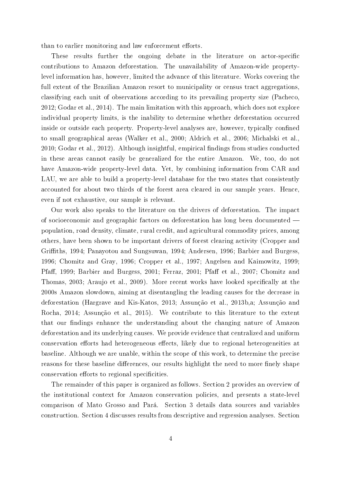than to earlier monitoring and law enforcement efforts.

These results further the ongoing debate in the literature on actor-specific contributions to Amazon deforestation. The unavailability of Amazon-wide propertylevel information has, however, limited the advance of this literature. Works covering the full extent of the Brazilian Amazon resort to municipality or census tract aggregations. classifying each unit of observations according to its prevailing property size (Pacheco, 2012; Godar et al., 2014). The main limitation with this approach, which does not explore individual property limits, is the inability to determine whether deforestation occurred inside or outside each property. Property-level analyses are, however, typically confined to small geographical areas (Walker et al., 2000; Aldrich et al., 2006; Michalski et al., 2010; Godar et al., 2012). Although insightful, empirical findings from studies conducted in these areas cannot easily be generalized for the entire Amazon. We, too, do not have Amazon-wide property-level data. Yet, by combining information from CAR and LAU, we are able to build a property-level database for the two states that consistently accounted for about two thirds of the forest area cleared in our sample years. Hence, even if not exhaustive, our sample is relevant.

Our work also speaks to the literature on the drivers of deforestation. The impact of socioeconomic and geographic factors on deforestation has long been documented population, road density, climate, rural credit, and agricultural commodity prices, among others, have been shown to be important drivers of forest clearing activity (Cropper and Griths, 1994; Panayotou and Sungsuwan, 1994; Andersen, 1996; Barbier and Burgess, 1996; Chomitz and Gray, 1996; Cropper et al., 1997; Angelsen and Kaimowitz, 1999; Pfaff, 1999; Barbier and Burgess, 2001; Ferraz, 2001; Pfaff et al., 2007; Chomitz and Thomas, 2003; Araujo et al., 2009). More recent works have looked specifically at the 2000s Amazon slowdown, aiming at disentangling the leading causes for the decrease in deforestation (Hargrave and Kis-Katos, 2013; Assunção et al., 2013b,a; Assunção and Rocha, 2014; Assunção et al., 2015). We contribute to this literature to the extent that our findings enhance the understanding about the changing nature of Amazon deforestation and its underlying causes. We provide evidence that centralized and uniform conservation efforts had heterogeneous effects, likely due to regional heterogeneities at baseline. Although we are unable, within the scope of this work, to determine the precise reasons for these baseline differences, our results highlight the need to more finely shape conservation efforts to regional specificities.

The remainder of this paper is organized as follows. Section 2 provides an overview of the institutional context for Amazon conservation policies, and presents a state-level comparison of Mato Grosso and Pará. Section 3 details data sources and variables construction. Section 4 discusses results from descriptive and regression analyses. Section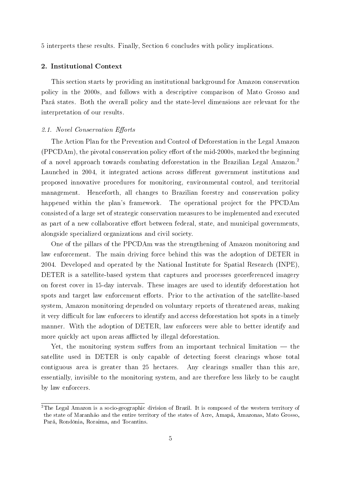5 interprets these results. Finally, Section 6 concludes with policy implications.

### 2. Institutional Context

This section starts by providing an institutional background for Amazon conservation policy in the 2000s, and follows with a descriptive comparison of Mato Grosso and Pará states. Both the overall policy and the state-level dimensions are relevant for the interpretation of our results.

#### 2.1. Novel Conservation Efforts

The Action Plan for the Prevention and Control of Deforestation in the Legal Amazon  $(PPCDAm)$ , the pivotal conservation policy effort of the mid-2000s, marked the beginning of a novel approach towards combating deforestation in the Brazilian Legal Amazon.<sup>2</sup> Launched in 2004, it integrated actions across different government institutions and proposed innovative procedures for monitoring, environmental control, and territorial management. Henceforth, all changes to Brazilian forestry and conservation policy happened within the plan's framework. The operational project for the PPCDAm consisted of a large set of strategic conservation measures to be implemented and executed as part of a new collaborative effort between federal, state, and municipal governments, alongside specialized organizations and civil society.

One of the pillars of the PPCDAm was the strengthening of Amazon monitoring and law enforcement. The main driving force behind this was the adoption of DETER in 2004. Developed and operated by the National Institute for Spatial Research (INPE), DETER is a satellite-based system that captures and processes georeferenced imagery on forest cover in 15-day intervals. These images are used to identify deforestation hot spots and target law enforcement efforts. Prior to the activation of the satellite-based system, Amazon monitoring depended on voluntary reports of threatened areas, making it very difficult for law enforcers to identify and access deforestation hot spots in a timely manner. With the adoption of DETER, law enforcers were able to better identify and more quickly act upon areas afflicted by illegal deforestation.

Yet, the monitoring system suffers from an important technical limitation  $-$  the satellite used in DETER is only capable of detecting forest clearings whose total contiguous area is greater than 25 hectares. Any clearings smaller than this are, essentially, invisible to the monitoring system, and are therefore less likely to be caught by law enforcers.

<sup>&</sup>lt;sup>2</sup>The Legal Amazon is a socio-geographic division of Brazil. It is composed of the western territory of the state of Maranhão and the entire territory of the states of Acre, Amapá, Amazonas, Mato Grosso, Pará, Rondônia, Roraima, and Tocantins.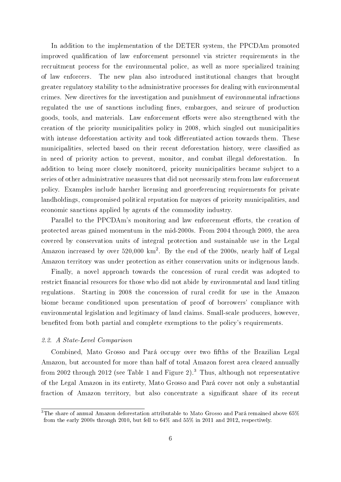In addition to the implementation of the DETER system, the PPCDAm promoted improved qualification of law enforcement personnel via stricter requirements in the recruitment process for the environmental police, as well as more specialized training of law enforcers. The new plan also introduced institutional changes that brought greater regulatory stability to the administrative processes for dealing with environmental crimes. New directives for the investigation and punishment of environmental infractions regulated the use of sanctions including fines, embargoes, and seizure of production goods, tools, and materials. Law enforcement efforts were also strengthened with the creation of the priority municipalities policy in 2008, which singled out municipalities with intense deforestation activity and took differentiated action towards them. These municipalities, selected based on their recent deforestation history, were classied as in need of priority action to prevent, monitor, and combat illegal deforestation. In addition to being more closely monitored, priority municipalities became subject to a series of other administrative measures that did not necessarily stem from law enforcement policy. Examples include harsher licensing and georeferencing requirements for private landholdings, compromised political reputation for mayors of priority municipalities, and economic sanctions applied by agents of the commodity industry.

Parallel to the PPCDAm's monitoring and law enforcement efforts, the creation of protected areas gained momentum in the mid-2000s. From 2004 through 2009, the area covered by conservation units of integral protection and sustainable use in the Legal Amazon increased by over  $520,000 \text{ km}^2$ . By the end of the 2000s, nearly half of Legal Amazon territory was under protection as either conservation units or indigenous lands.

Finally, a novel approach towards the concession of rural credit was adopted to restrict financial resources for those who did not abide by environmental and land titling regulations. Starting in 2008 the concession of rural credit for use in the Amazon biome became conditioned upon presentation of proof of borrowers' compliance with environmental legislation and legitimacy of land claims. Small-scale producers, however, benefited from both partial and complete exemptions to the policy's requirements.

#### 2.2. A State-Level Comparison

Combined, Mato Grosso and Pará occupy over two fifths of the Brazilian Legal Amazon, but accounted for more than half of total Amazon forest area cleared annually from 2002 through 2012 (see Table 1 and Figure 2).<sup>3</sup> Thus, although not representative of the Legal Amazon in its entirety, Mato Grosso and Pará cover not only a substantial fraction of Amazon territory, but also concentrate a significant share of its recent

 $^3\rm{The}$  share of annual Amazon deforestation attributable to Mato Grosso and Pará remained above  $65\%$ from the early 2000s through 2010, but fell to 64% and 55% in 2011 and 2012, respectively.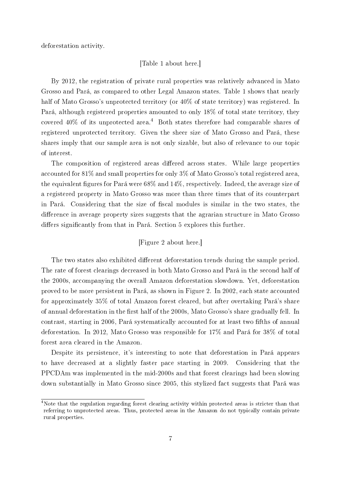deforestation activity.

# [Table 1 about here.]

By 2012, the registration of private rural properties was relatively advanced in Mato Grosso and Pará, as compared to other Legal Amazon states. Table 1 shows that nearly half of Mato Grosso's unprotected territory (or  $40\%$  of state territory) was registered. In Pará, although registered properties amounted to only 18% of total state territory, they covered  $40\%$  of its unprotected area.<sup>4</sup> Both states therefore had comparable shares of registered unprotected territory. Given the sheer size of Mato Grosso and Pará, these shares imply that our sample area is not only sizable, but also of relevance to our topic of interest.

The composition of registered areas differed across states. While large properties accounted for 81% and small properties for only 3% of Mato Grosso's total registered area, the equivalent figures for Pará were  $68\%$  and  $14\%$ , respectively. Indeed, the average size of a registered property in Mato Grosso was more than three times that of its counterpart in Pará. Considering that the size of fiscal modules is similar in the two states, the difference in average property sizes suggests that the agrarian structure in Mato Grosso differs significantly from that in Pará. Section 5 explores this further.

# [Figure 2 about here.]

The two states also exhibited different deforestation trends during the sample period. The rate of forest clearings decreased in both Mato Grosso and Pará in the second half of the 2000s, accompanying the overall Amazon deforestation slowdown. Yet, deforestation proved to be more persistent in Pará, as shown in Figure 2. In 2002, each state accounted for approximately 35% of total Amazon forest cleared, but after overtaking Pará's share of annual deforestation in the first half of the 2000s, Mato Grosso's share gradually fell. In contrast, starting in 2006, Pará systematically accounted for at least two fifths of annual deforestation. In 2012, Mato Grosso was responsible for 17% and Pará for 38% of total forest area cleared in the Amazon.

Despite its persistence, it's interesting to note that deforestation in Pará appears to have decreased at a slightly faster pace starting in 2009. Considering that the PPCDAm was implemented in the mid-2000s and that forest clearings had been slowing down substantially in Mato Grosso since 2005, this stylized fact suggests that Pará was

<sup>&</sup>lt;sup>4</sup>Note that the regulation regarding forest clearing activity within protected areas is stricter than that referring to unprotected areas. Thus, protected areas in the Amazon do not typically contain private rural properties.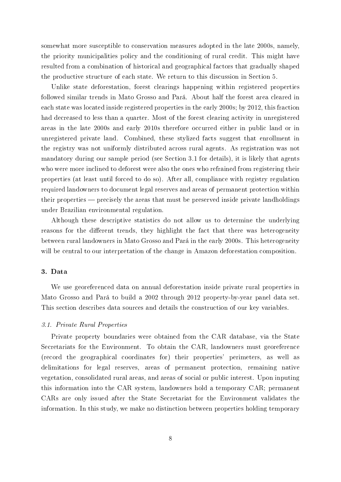somewhat more susceptible to conservation measures adopted in the late 2000s, namely, the priority municipalities policy and the conditioning of rural credit. This might have resulted from a combination of historical and geographical factors that gradually shaped the productive structure of each state. We return to this discussion in Section 5.

Unlike state deforestation, forest clearings happening within registered properties followed similar trends in Mato Grosso and Pará. About half the forest area cleared in each state was located inside registered properties in the early 2000s; by 2012, this fraction had decreased to less than a quarter. Most of the forest clearing activity in unregistered areas in the late 2000s and early 2010s therefore occurred either in public land or in unregistered private land. Combined, these stylized facts suggest that enrollment in the registry was not uniformly distributed across rural agents. As registration was not mandatory during our sample period (see Section 3.1 for details), it is likely that agents who were more inclined to deforest were also the ones who refrained from registering their properties (at least until forced to do so). After all, compliance with registry regulation required landowners to document legal reserves and areas of permanent protection within their properties  $-$  precisely the areas that must be preserved inside private landholdings under Brazilian environmental regulation.

Although these descriptive statistics do not allow us to determine the underlying reasons for the different trends, they highlight the fact that there was heterogeneity between rural landowners in Mato Grosso and Pará in the early 2000s. This heterogeneity will be central to our interpretation of the change in Amazon deforestation composition.

#### 3. Data

We use georeferenced data on annual deforestation inside private rural properties in Mato Grosso and Pará to build a 2002 through 2012 property-by-year panel data set. This section describes data sources and details the construction of our key variables.

#### 3.1. Private Rural Properties

Private property boundaries were obtained from the CAR database, via the State Secretariats for the Environment. To obtain the CAR, landowners must georeference (record the geographical coordinates for) their properties' perimeters, as well as delimitations for legal reserves, areas of permanent protection, remaining native vegetation, consolidated rural areas, and areas of social or public interest. Upon inputing this information into the CAR system, landowners hold a temporary CAR; permanent CARs are only issued after the State Secretariat for the Environment validates the information. In this study, we make no distinction between properties holding temporary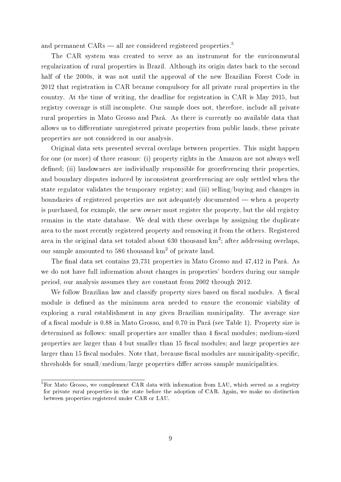and permanent  $CARs$  — all are considered registered properties.<sup>5</sup>

The CAR system was created to serve as an instrument for the environmental regularization of rural properties in Brazil. Although its origin dates back to the second half of the 2000s, it was not until the approval of the new Brazilian Forest Code in 2012 that registration in CAR became compulsory for all private rural properties in the country. At the time of writing, the deadline for registration in CAR is May 2015, but registry coverage is still incomplete. Our sample does not, therefore, include all private rural properties in Mato Grosso and Pará. As there is currently no available data that allows us to differentiate unregistered private properties from public lands, these private properties are not considered in our analysis.

Original data sets presented several overlaps between properties. This might happen for one (or more) of three reasons: (i) property rights in the Amazon are not always well defined; (ii) landowners are individually responsible for georeferencing their properties, and boundary disputes induced by inconsistent georeferencing are only settled when the state regulator validates the temporary registry; and (iii) selling/buying and changes in boundaries of registered properties are not adequately documented — when a property is purchased, for example, the new owner must register the property, but the old registry remains in the state database. We deal with these overlaps by assigning the duplicate area to the most recently registered property and removing it from the others. Registered area in the original data set totaled about 630 thousand  $\text{km}^2$ ; after addressing overlaps, our sample amounted to 586 thousand  $km^2$  of private land.

The final data set contains 23,731 properties in Mato Grosso and 47,412 in Pará. As we do not have full information about changes in properties' borders during our sample period, our analysis assumes they are constant from 2002 through 2012.

We follow Brazilian law and classify property sizes based on fiscal modules. A fiscal module is defined as the minimum area needed to ensure the economic viability of exploring a rural establishment in any given Brazilian municipality. The average size of a fiscal module is 0.88 in Mato Grosso, and 0.70 in Pará (see Table 1). Property size is determined as follows: small properties are smaller than 4 fiscal modules; medium-sized properties are larger than 4 but smaller than 15 fiscal modules; and large properties are larger than 15 fiscal modules. Note that, because fiscal modules are municipality-specific, thresholds for small/medium/large properties differ across sample municipalities.

 ${}^{5}$ For Mato Grosso, we complement CAR data with information from LAU, which served as a registry for private rural properties in the state before the adoption of CAR. Again, we make no distinction between properties registered under CAR or LAU.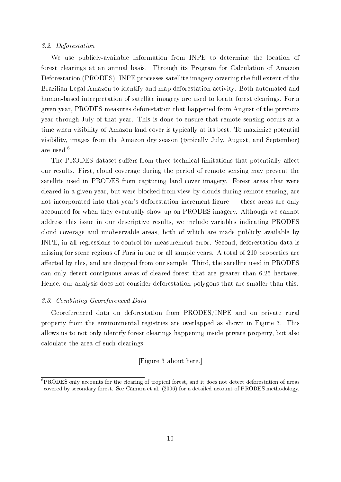#### 3.2. Deforestation

We use publicly-available information from INPE to determine the location of forest clearings at an annual basis. Through its Program for Calculation of Amazon Deforestation (PRODES), INPE processes satellite imagery covering the full extent of the Brazilian Legal Amazon to identify and map deforestation activity. Both automated and human-based interpretation of satellite imagery are used to locate forest clearings. For a given year, PRODES measures deforestation that happened from August of the previous year through July of that year. This is done to ensure that remote sensing occurs at a time when visibility of Amazon land cover is typically at its best. To maximize potential visibility, images from the Amazon dry season (typically July, August, and September) are used.<sup>6</sup>

The PRODES dataset suffers from three technical limitations that potentially affect our results. First, cloud coverage during the period of remote sensing may prevent the satellite used in PRODES from capturing land cover imagery. Forest areas that were cleared in a given year, but were blocked from view by clouds during remote sensing, are not incorporated into that year's deforestation increment figure  $-$  these areas are only accounted for when they eventually show up on PRODES imagery. Although we cannot address this issue in our descriptive results, we include variables indicating PRODES cloud coverage and unobservable areas, both of which are made publicly available by INPE, in all regressions to control for measurement error. Second, deforestation data is missing for some regions of Pará in one or all sample years. A total of 210 properties are affected by this, and are dropped from our sample. Third, the satellite used in PRODES can only detect contiguous areas of cleared forest that are greater than 6.25 hectares. Hence, our analysis does not consider deforestation polygons that are smaller than this.

#### 3.3. Combining Georeferenced Data

Georeferenced data on deforestation from PRODES/INPE and on private rural property from the environmental registries are overlapped as shown in Figure 3. This allows us to not only identify forest clearings happening inside private property, but also calculate the area of such clearings.

# [Figure 3 about here.]

<sup>6</sup>PRODES only accounts for the clearing of tropical forest, and it does not detect deforestation of areas covered by secondary forest. See Câmara et al. (2006) for a detailed account of PRODES methodology.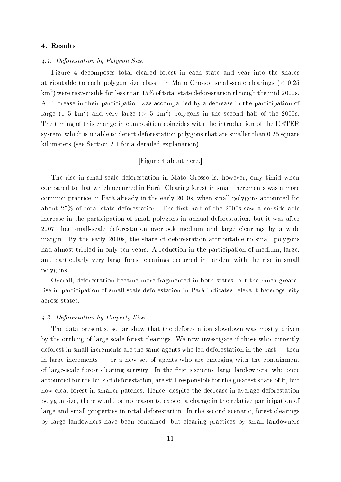#### 4. Results

#### 4.1. Deforestation by Polygon Size

Figure 4 decomposes total cleared forest in each state and year into the shares attributable to each polygon size class. In Mato Grosso, small-scale clearings ( $< 0.25$ ) km $^2)$  were responsible for less than 15% of total state deforestation through the mid-2000s. An increase in their participation was accompanied by a decrease in the participation of large  $(1-5\,\mathrm{km}^2)$  and very large (> 5 km<sup>2</sup>) polygons in the second half of the 2000s. The timing of this change in composition coincides with the introduction of the DETER system, which is unable to detect deforestation polygons that are smaller than 0.25 square kilometers (see Section 2.1 for a detailed explanation).

# [Figure 4 about here.]

The rise in small-scale deforestation in Mato Grosso is, however, only timid when compared to that which occurred in Pará. Clearing forest in small increments was a more common practice in Pará already in the early 2000s, when small polygons accounted for about  $25\%$  of total state deforestation. The first half of the 2000s saw a considerable increase in the participation of small polygons in annual deforestation, but it was after 2007 that small-scale deforestation overtook medium and large clearings by a wide margin. By the early 2010s, the share of deforestation attributable to small polygons had almost tripled in only ten years. A reduction in the participation of medium, large, and particularly very large forest clearings occurred in tandem with the rise in small polygons.

Overall, deforestation became more fragmented in both states, but the much greater rise in participation of small-scale deforestation in Pará indicates relevant heterogeneity across states.

#### 4.2. Deforestation by Property Size

The data presented so far show that the deforestation slowdown was mostly driven by the curbing of large-scale forest clearings. We now investigate if those who currently deforest in small increments are the same agents who led deforestation in the past  $-$  then in large increments  $\sim$  or a new set of agents who are emerging with the containment of large-scale forest clearing activity. In the first scenario, large landowners, who once accounted for the bulk of deforestation, are still responsible for the greatest share of it, but now clear forest in smaller patches. Hence, despite the decrease in average deforestation polygon size, there would be no reason to expect a change in the relative participation of large and small properties in total deforestation. In the second scenario, forest clearings by large landowners have been contained, but clearing practices by small landowners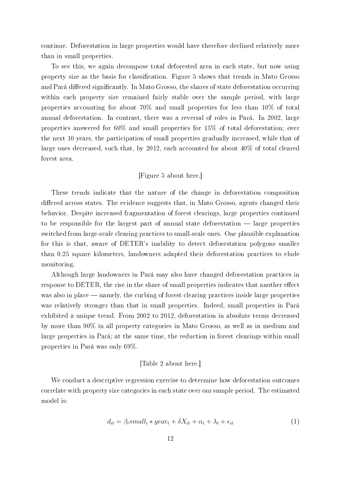continue. Deforestation in large properties would have therefore declined relatively more than in small properties.

To see this, we again decompose total deforested area in each state, but now using property size as the basis for classification. Figure 5 shows that trends in Mato Grosso and Pará differed significantly. In Mato Grosso, the shares of state deforestation occurring within each property size remained fairly stable over the sample period, with large properties accounting for about 70% and small properties for less than 10% of total annual deforestation. In contrast, there was a reversal of roles in Pará. In 2002, large properties answered for 60% and small properties for 15% of total deforestation; over the next 10 years, the participation of small properties gradually increased, while that of large ones decreased, such that, by 2012, each accounted for about 40% of total cleared forest area.

# [Figure 5 about here.]

These trends indicate that the nature of the change in deforestation composition differed across states. The evidence suggests that, in Mato Grosso, agents changed their behavior. Despite increased fragmentation of forest clearings, large properties continued to be responsible for the largest part of annual state deforestation  $-$  large properties switched from large-scale clearing practices to small-scale ones. One plausible explanation for this is that, aware of DETER's inability to detect deforestation polygons smaller than 0.25 square kilometers, landowners adapted their deforestation practices to elude monitoring.

Although large landowners in Pará may also have changed deforestation practices in response to DETER, the rise in the share of small properties indicates that another effect was also in place — namely, the curbing of forest clearing practices inside large properties was relatively stronger than that in small properties. Indeed, small properties in Pará exhibited a unique trend. From 2002 to 2012, deforestation in absolute terms decreased by more than 90% in all property categories in Mato Grosso, as well as in medium and large properties in Pará; at the same time, the reduction in forest clearings within small properties in Pará was only 69%.

## [Table 2 about here.]

We conduct a descriptive regression exercise to determine how deforestation outcomes correlate with property size categories in each state over our sample period. The estimated model is:

$$
d_{it} = \beta_t small_i * year_t + \delta X_{it} + \alpha_i + \lambda_t + \epsilon_{it}
$$
\n<sup>(1)</sup>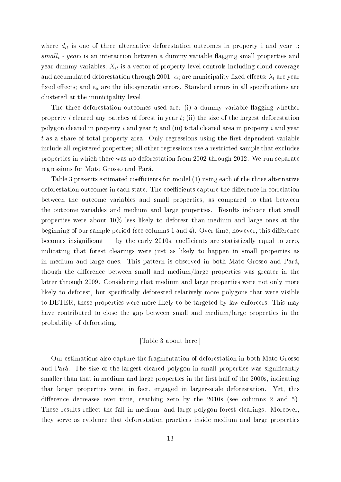where  $d_{it}$  is one of three alternative deforestation outcomes in property i and year t;  $small_i * year_t$  is an interaction between a dummy variable flagging small properties and year dummy variables;  $X_{it}$  is a vector of property-level controls including cloud coverage and accumulated deforestation through 2001;  $\alpha_i$  are municipality fixed effects;  $\lambda_t$  are year fixed effects; and  $\epsilon_{it}$  are the idiosyncratic errors. Standard errors in all specifications are clustered at the municipality level.

The three deforestation outcomes used are: (i) a dummy variable flagging whether property i cleared any patches of forest in year  $t$ ; (ii) the size of the largest deforestation polygon cleared in property  $i$  and year  $t$ ; and (iii) total cleared area in property  $i$  and year  $t$  as a share of total property area. Only regressions using the first dependent variable include all registered properties; all other regressions use a restricted sample that excludes properties in which there was no deforestation from 2002 through 2012. We run separate regressions for Mato Grosso and Pará.

Table 3 presents estimated coefficients for model  $(1)$  using each of the three alternative deforestation outcomes in each state. The coefficients capture the difference in correlation between the outcome variables and small properties, as compared to that between the outcome variables and medium and large properties. Results indicate that small properties were about 10% less likely to deforest than medium and large ones at the beginning of our sample period (see columns  $1$  and  $4$ ). Over time, however, this difference becomes insignificant  $-$  by the early 2010s, coefficients are statistically equal to zero, indicating that forest clearings were just as likely to happen in small properties as in medium and large ones. This pattern is observed in both Mato Grosso and Pará, though the difference between small and medium/large properties was greater in the latter through 2009. Considering that medium and large properties were not only more likely to deforest, but specifically deforested relatively more polygons that were visible to DETER, these properties were more likely to be targeted by law enforcers. This may have contributed to close the gap between small and medium/large properties in the probability of deforesting.

### [Table 3 about here.]

Our estimations also capture the fragmentation of deforestation in both Mato Grosso and Pará. The size of the largest cleared polygon in small properties was signicantly smaller than that in medium and large properties in the first half of the 2000s, indicating that larger properties were, in fact, engaged in larger-scale deforestation. Yet, this difference decreases over time, reaching zero by the  $2010s$  (see columns 2 and 5). These results reflect the fall in medium- and large-polygon forest clearings. Moreover, they serve as evidence that deforestation practices inside medium and large properties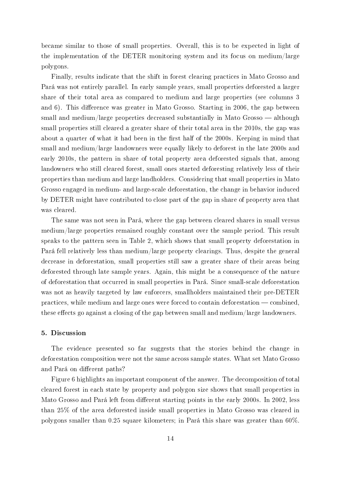became similar to those of small properties. Overall, this is to be expected in light of the implementation of the DETER monitoring system and its focus on medium/large polygons.

Finally, results indicate that the shift in forest clearing practices in Mato Grosso and Pará was not entirely parallel. In early sample years, small properties deforested a larger share of their total area as compared to medium and large properties (see columns 3 and 6). This difference was greater in Mato Grosso. Starting in 2006, the gap between small and medium/large properties decreased substantially in Mato Grosso  $-$  although small properties still cleared a greater share of their total area in the 2010s, the gap was about a quarter of what it had been in the first half of the 2000s. Keeping in mind that small and medium/large landowners were equally likely to deforest in the late 2000s and early 2010s, the pattern in share of total property area deforested signals that, among landowners who still cleared forest, small ones started deforesting relatively less of their properties than medium and large landholders. Considering that small properties in Mato Grosso engaged in medium- and large-scale deforestation, the change in behavior induced by DETER might have contributed to close part of the gap in share of property area that was cleared.

The same was not seen in Pará, where the gap between cleared shares in small versus medium/large properties remained roughly constant over the sample period. This result speaks to the pattern seen in Table 2, which shows that small property deforestation in Pará fell relatively less than medium/large property clearings. Thus, despite the general decrease in deforestation, small properties still saw a greater share of their areas being deforested through late sample years. Again, this might be a consequence of the nature of deforestation that occurred in small properties in Pará. Since small-scale deforestation was not as heavily targeted by law enforcers, smallholders maintained their pre-DETER practices, while medium and large ones were forced to contain deforestation  $\sim$  combined, these effects go against a closing of the gap between small and medium/large landowners.

#### 5. Discussion

The evidence presented so far suggests that the stories behind the change in deforestation composition were not the same across sample states. What set Mato Grosso and Pará on different paths?

Figure 6 highlights an important component of the answer. The decomposition of total cleared forest in each state by property and polygon size shows that small properties in Mato Grosso and Pará left from different starting points in the early 2000s. In 2002, less than 25% of the area deforested inside small properties in Mato Grosso was cleared in polygons smaller than 0.25 square kilometers; in Pará this share was greater than 60%.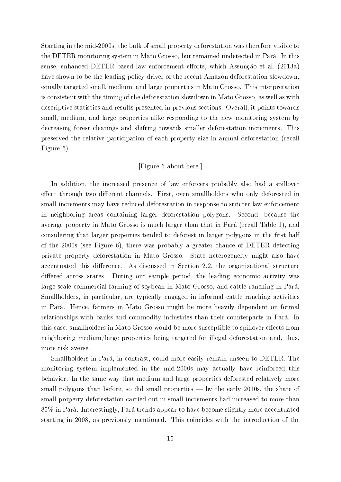Starting in the mid-2000s, the bulk of small property deforestation was therefore visible to the DETER monitoring system in Mato Grosso, but remained undetected in Pará. In this sense, enhanced DETER-based law enforcement efforts, which Assunção et al. (2013a) have shown to be the leading policy driver of the recent Amazon deforestation slowdown, equally targeted small, medium, and large properties in Mato Grosso. This interpretation is consistent with the timing of the deforestation slowdown in Mato Grosso, as well as with descriptive statistics and results presented in previous sections. Overall, it points towards small, medium, and large properties alike responding to the new monitoring system by decreasing forest clearings and shifting towards smaller deforestation increments. This preserved the relative participation of each property size in annual deforestation (recall Figure 5).

# [Figure 6 about here.]

In addition, the increased presence of law enforcers probably also had a spillover effect through two different channels. First, even smallholders who only deforested in small increments may have reduced deforestation in response to stricter law enforcement in neighboring areas containing larger deforestation polygons. Second, because the average property in Mato Grosso is much larger than that in Pará (recall Table 1), and considering that larger properties tended to deforest in larger polygons in the first half of the 2000s (see Figure 6), there was probably a greater chance of DETER detecting private property deforestation in Mato Grosso. State heterogeneity might also have accentuated this difference. As discussed in Section 2.2, the organizational structure differed across states. During our sample period, the leading economic activity was large-scale commercial farming of soybean in Mato Grosso, and cattle ranching in Pará. Smallholders, in particular, are typically engaged in informal cattle ranching activities in Pará. Hence, farmers in Mato Grosso might be more heavily dependent on formal relationships with banks and commodity industries than their counterparts in Pará. In this case, smallholders in Mato Grosso would be more susceptible to spillover effects from neighboring medium/large properties being targeted for illegal deforestation and, thus, more risk averse.

Smallholders in Pará, in contrast, could more easily remain unseen to DETER. The monitoring system implemented in the mid-2000s may actually have reinforced this behavior. In the same way that medium and large properties deforested relatively more small polygons than before, so did small properties  $-$  by the early 2010s, the share of small property deforestation carried out in small increments had increased to more than 85% in Pará. Interestingly, Pará trends appear to have become slightly more accentuated starting in 2008, as previously mentioned. This coincides with the introduction of the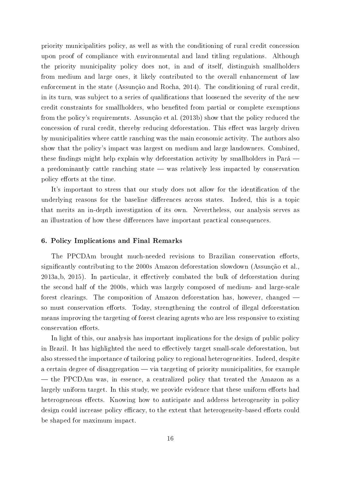priority municipalities policy, as well as with the conditioning of rural credit concession upon proof of compliance with environmental and land titling regulations. Although the priority municipality policy does not, in and of itself, distinguish smallholders from medium and large ones, it likely contributed to the overall enhancement of law enforcement in the state (Assunção and Rocha, 2014). The conditioning of rural credit, in its turn, was subject to a series of qualifications that loosened the severity of the new credit constraints for smallholders, who benefited from partial or complete exemptions from the policy's requirements. Assunção et al. (2013b) show that the policy reduced the concession of rural credit, thereby reducing deforestation. This effect was largely driven by municipalities where cattle ranching was the main economic activity. The authors also show that the policy's impact was largest on medium and large landowners. Combined, these findings might help explain why deforestation activity by smallholders in Pará a predominantly cattle ranching state — was relatively less impacted by conservation policy efforts at the time.

It's important to stress that our study does not allow for the identification of the underlying reasons for the baseline differences across states. Indeed, this is a topic that merits an in-depth investigation of its own. Nevertheless, our analysis serves as an illustration of how these differences have important practical consequences.

#### 6. Policy Implications and Final Remarks

The PPCDAm brought much-needed revisions to Brazilian conservation efforts, signicantly contributing to the 2000s Amazon deforestation slowdown (Assunção et al.,  $2013a,b, 2015$ . In particular, it effectively combated the bulk of deforestation during the second half of the 2000s, which was largely composed of medium- and large-scale forest clearings. The composition of Amazon deforestation has, however, changed so must conservation efforts. Today, strengthening the control of illegal deforestation means improving the targeting of forest clearing agents who are less responsive to existing conservation efforts.

In light of this, our analysis has important implications for the design of public policy in Brazil. It has highlighted the need to effectively target small-scale deforestation, but also stressed the importance of tailoring policy to regional heterogeneities. Indeed, despite a certain degree of disaggregation  $-$  via targeting of priority municipalities, for example — the PPCDAm was, in essence, a centralized policy that treated the Amazon as a largely uniform target. In this study, we provide evidence that these uniform efforts had heterogeneous effects. Knowing how to anticipate and address heterogeneity in policy design could increase policy efficacy, to the extent that heterogeneity-based efforts could be shaped for maximum impact.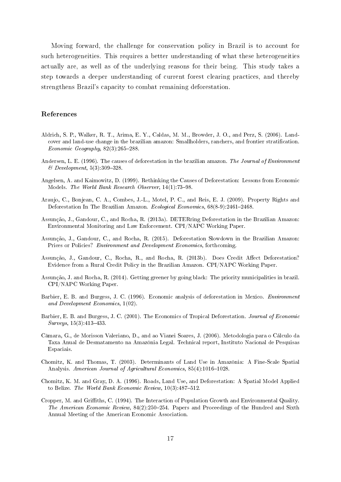Moving forward, the challenge for conservation policy in Brazil is to account for such heterogeneities. This requires a better understanding of what these heterogeneities actually are, as well as of the underlying reasons for their being. This study takes a step towards a deeper understanding of current forest clearing practices, and thereby strengthens Brazil's capacity to combat remaining deforestation.

#### References

- Aldrich, S. P., Walker, R. T., Arima, E. Y., Caldas, M. M., Browder, J. O., and Perz, S. (2006). Landcover and land-use change in the brazilian amazon: Smallholders, ranchers, and frontier stratication. Economic Geography,  $82(3):265-288$ .
- Andersen, L. E. (1996). The causes of deforestation in the brazilian amazon. The Journal of Environment  $\mathscr$  Development, 5(3): 309–328.
- Angelsen, A. and Kaimowitz, D. (1999). Rethinking the Causes of Deforestation: Lessons from Economic Models. The World Bank Research Observer, 14(1):73-98.
- Araujo, C., Bonjean, C. A., Combes, J.-L., Motel, P. C., and Reis, E. J. (2009). Property Rights and Deforestation In The Brazilian Amazon. Ecological Economics,  $68(8-9):2461-2468$ .
- Assunção, J., Gandour, C., and Rocha, R. (2013a). DETERring Deforestation in the Brazilian Amazon: Environmental Monitoring and Law Enforcement. CPI/NAPC Working Paper.
- Assunção, J., Gandour, C., and Rocha, R. (2015). Deforestation Slowdown in the Brazilian Amazon: Prices or Policies? Environment and Development Economics, forthcoming.
- Assunção, J., Gandour, C., Rocha, R., and Rocha, R. (2013b). Does Credit Affect Deforestation? Evidence from a Rural Credit Policy in the Brazilian Amazon. CPI/NAPC Working Paper.
- Assunção, J. and Rocha, R. (2014). Getting greener by going black: The priority municipalities in brazil. CPI/NAPC Working Paper.
- Barbier, E. B. and Burgess, J. C. (1996). Economic analysis of deforestation in Mexico. Environment and Development Economics, 1(02).
- Barbier, E. B. and Burgess, J. C. (2001). The Economics of Tropical Deforestation. Journal of Economic  $Surveus, 15(3): 413-433.$
- Câmara, G., de Morisson Valeriano, D., and ao Vianei Soares, J. (2006). Metodologia para o Cálculo da Taxa Anual de Desmatamento na Amazônia Legal. Technical report, Instituto Nacional de Pesquisas Espaciais.
- Chomitz, K. and Thomas, T. (2003). Determinants of Land Use in Amazônia: A Fine-Scale Spatial Analysis. American Journal of Agricultural Economics, 85(4):1016-1028.
- Chomitz, K. M. and Gray, D. A. (1996). Roads, Land Use, and Deforestation: A Spatial Model Applied to Belize. The World Bank Economic Review,  $10(3)$ : 487-512.
- Cropper, M. and Griths, C. (1994). The Interaction of Population Growth and Environmental Quality. The American Economic Review,  $84(2):250-254$ . Papers and Proceedings of the Hundred and Sixth Annual Meeting of the American Economic Association.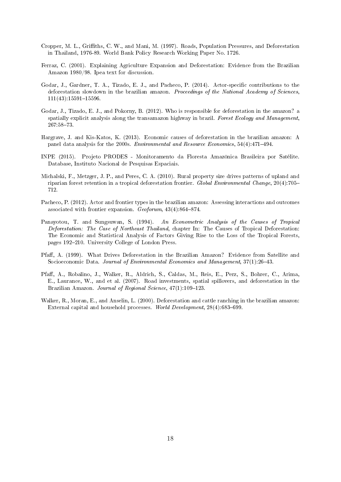- Cropper, M. L., Griths, C. W., and Mani, M. (1997). Roads, Population Pressures, and Deforestation in Thailand, 1976-89. World Bank Policy Research Working Paper No. 1726.
- Ferraz, C. (2001). Explaining Agriculture Expansion and Deforestation: Evidence from the Brazilian Amazon 1980/98. Ipea text for discussion.
- Godar, J., Gardner, T. A., Tizado, E. J., and Pacheco, P. (2014). Actor-specific contributions to the deforestation slowdown in the brazilian amazon. Proceedings of the National Academy of Sciences,  $111(43):15591-15596.$
- Godar, J., Tizado, E. J., and Pokorny, B. (2012). Who is responsible for deforestation in the amazon? a spatially explicit analysis along the transamazon highway in brazil. Forest Ecology and Management, 267:5873.
- Hargrave, J. and Kis-Katos, K. (2013). Economic causes of deforestation in the brazilian amazon: A panel data analysis for the 2000s. *Environmental and Resource Economics*, 54(4):471-494.
- INPE (2015). Projeto PRODES Monitoramento da Floresta Amazônica Brasileira por Satélite. Database, Instituto Nacional de Pesquisas Espaciais.
- Michalski, F., Metzger, J. P., and Peres, C. A. (2010). Rural property size drives patterns of upland and riparian forest retention in a tropical deforestation frontier. Global Environmental Change, 20(4):705 712.
- Pacheco, P. (2012). Actor and frontier types in the brazilian amazon: Assessing interactions and outcomes associated with frontier expansion.  $Geoforum$ , 43(4):864-874.
- Panayotou, T. and Sungsuwan, S. (1994). An Econometric Analysis of the Causes of Tropical Deforestation: The Case of Northeast Thailand, chapter In: The Causes of Tropical Deforestation: The Economic and Statistical Analysis of Factors Giving Rise to the Loss of the Tropical Forests, pages 192-210. University College of London Press.
- Pfaff, A. (1999). What Drives Deforestation in the Brazilian Amazon? Evidence from Satellite and Socioeconomic Data. *Journal of Environmental Economics and Management*, 37(1):26–43.
- Pfaff, A., Robalino, J., Walker, R., Aldrich, S., Caldas, M., Reis, E., Perz, S., Bohrer, C., Arima, E., Laurance, W., and et al. (2007). Road investments, spatial spillovers, and deforestation in the Brazilian Amazon. Journal of Regional Science, 47(1):109-123.
- Walker, R., Moran, E., and Anselin, L. (2000). Deforestation and cattle ranching in the brazilian amazon: External capital and household processes. World Development,  $28(4)$ :683-699.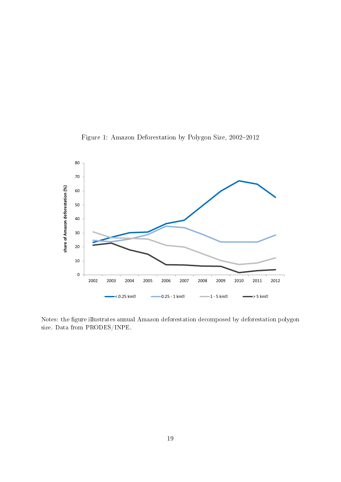



Notes: the figure illustrates annual Amazon deforestation decomposed by deforestation polygon size. Data from PRODES/INPE.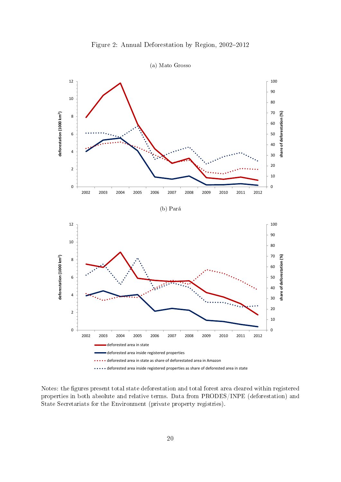



Notes: the figures present total state deforestation and total forest area cleared within registered properties in both absolute and relative terms. Data from PRODES/INPE (deforestation) and State Secretariats for the Environment (private property registries).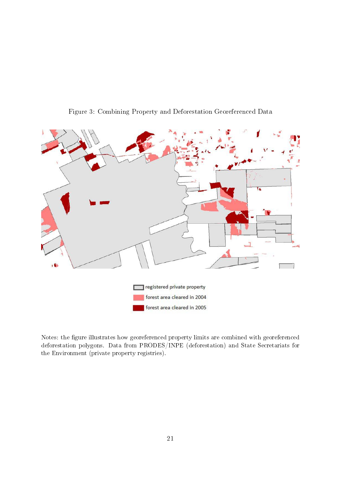

Figure 3: Combining Property and Deforestation Georeferenced Data

Notes: the figure illustrates how georeferenced property limits are combined with georeferenced deforestation polygons. Data from PRODES/INPE (deforestation) and State Secretariats for the Environment (private property registries).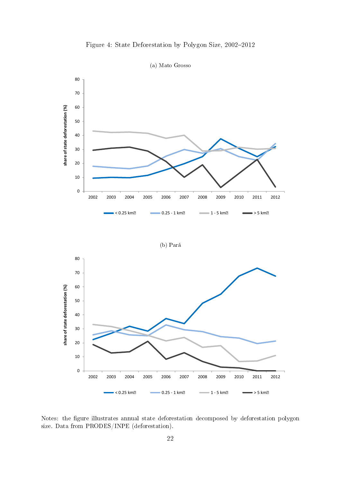



Notes: the figure illustrates annual state deforestation decomposed by deforestation polygon size. Data from PRODES/INPE (deforestation).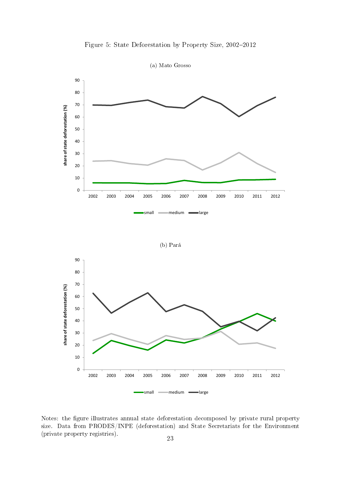

Figure 5: State Deforestation by Property Size, 2002-2012

Notes: the figure illustrates annual state deforestation decomposed by private rural property size. Data from PRODES/INPE (deforestation) and State Secretariats for the Environment (private property registries).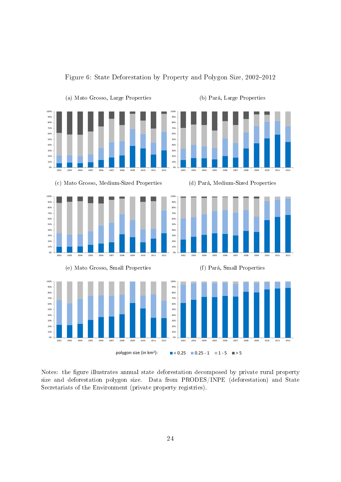

Figure 6: State Deforestation by Property and Polygon Size, 2002-2012

Notes: the figure illustrates annual state deforestation decomposed by private rural property size and deforestation polygon size. Data from PRODES/INPE (deforestation) and State Secretariats of the Environment (private property registries).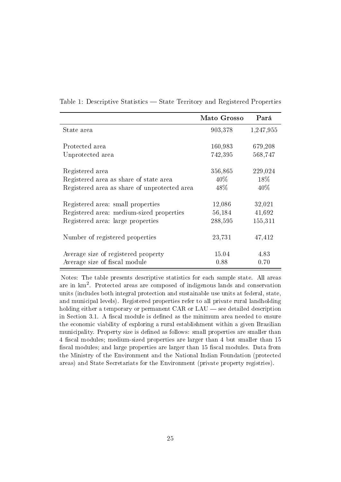|                                              | Mato Grosso | Pará      |
|----------------------------------------------|-------------|-----------|
| State area                                   | 903,378     | 1,247,955 |
|                                              |             |           |
| Protected area                               | 160,983     | 679,208   |
| Unprotected area                             | 742,395     | 568,747   |
| Registered area                              | 356,865     | 229,024   |
| Registered area as share of state area       | $40\%$      | 18\%      |
| Registered area as share of unprotected area | 48\%        | 40\%      |
|                                              |             |           |
| Registered area: small properties            | 12,086      | 32,021    |
| Registered area: medium-sized properties     | 56,184      | 41,692    |
| Registered area: large properties            | 288,595     | 155,311   |
| Number of registered properties              | 23,731      | 47,412    |
| Average size of registered property          | 15.04       | 4.83      |
| Average size of fiscal module                | 0.88        | 0.70      |

Table 1: Descriptive Statistics — State Territory and Registered Properties

Notes: The table presents descriptive statistics for each sample state. All areas are in  $km^2$ . Protected areas are composed of indigenous lands and conservation units (includes both integral protection and sustainable use units at federal, state, and municipal levels). Registered properties refer to all private rural landholding holding either a temporary or permanent  $CAR$  or  $LAU$  — see detailed description in Section 3.1. A fiscal module is defined as the minimum area needed to ensure the economic viability of exploring a rural establishment within a given Brazilian municipality. Property size is defined as follows: small properties are smaller than 4 fiscal modules; medium-sized properties are larger than 4 but smaller than 15 fiscal modules; and large properties are larger than 15 fiscal modules. Data from the Ministry of the Environment and the National Indian Foundation (protected areas) and State Secretariats for the Environment (private property registries).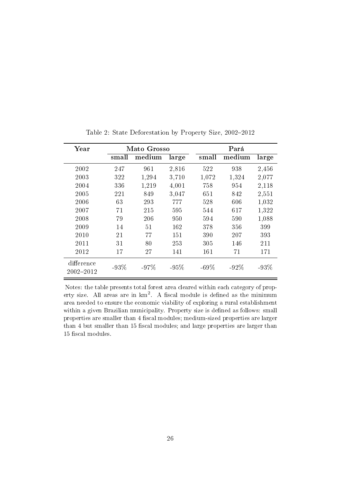| Year                    |        | Mato Grosso |        |         | Pará    |        |
|-------------------------|--------|-------------|--------|---------|---------|--------|
|                         | small  | medium      | large  | small   | medium  | large  |
| 2002                    | 247    | 961         | 2,816  | 522     | 938     | 2,456  |
| 2003                    | 322    | 1,294       | 3,710  | 1,072   | 1,324   | 2,077  |
| 2004                    | 336    | 1,219       | 4,001  | 758     | 954     | 2,118  |
| 2005                    | 221    | 849         | 3,047  | 651     | 842     | 2,551  |
| 2006                    | 63     | 293         | 777    | 528     | 606     | 1,032  |
| 2007                    | 71     | 215         | 595    | 544     | 617     | 1,322  |
| 2008                    | 79     | 206         | 950    | 594     | 590     | 1,088  |
| 2009                    | 14     | 51          | 162    | 378     | 356     | 399    |
| 2010                    | 21     | 77          | 151    | 390     | 207     | 393    |
| 2011                    | 31     | 80          | 253    | 305     | 146     | 211    |
| 2012                    | 17     | 27          | 141    | 161     | 71      | 171    |
| difference<br>2002-2012 | $-93%$ | $-97\%$     | $-95%$ | $-69\%$ | $-92\%$ | $-93%$ |

Table 2: State Deforestation by Property Size, 2002-2012

Notes: the table presents total forest area cleared within each category of property size. All areas are in  $km^2$ . A fiscal module is defined as the minimum area needed to ensure the economic viability of exploring a rural establishment within a given Brazilian municipality. Property size is defined as follows: small properties are smaller than 4 fiscal modules; medium-sized properties are larger than 4 but smaller than 15 fiscal modules; and large properties are larger than 15 fiscal modules.